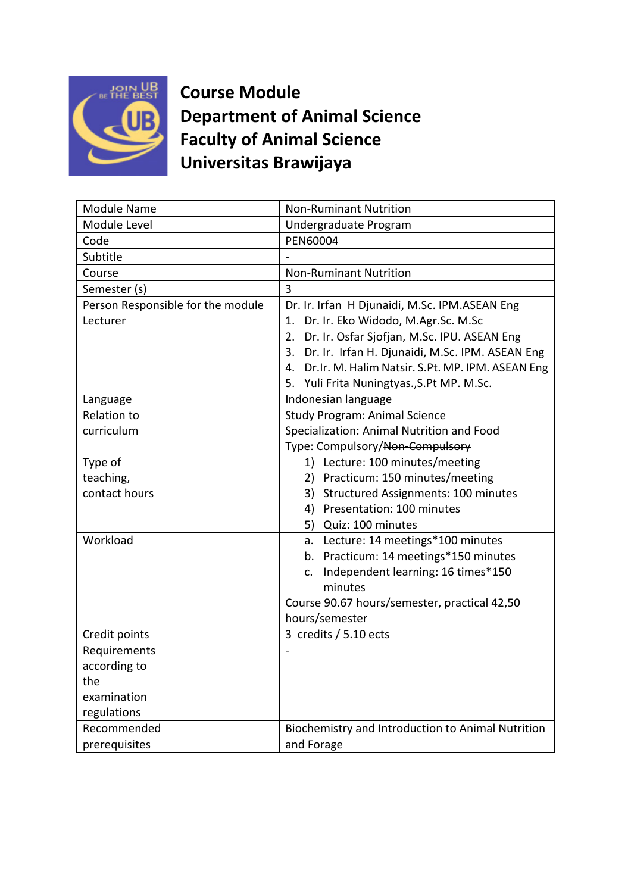

**Course Module Department of Animal Science Faculty of Animal Science Universitas Brawijaya**

| <b>Module Name</b>                | <b>Non-Ruminant Nutrition</b>                       |
|-----------------------------------|-----------------------------------------------------|
|                                   |                                                     |
| Module Level                      | Undergraduate Program                               |
| Code                              | PEN60004                                            |
| Subtitle                          |                                                     |
| Course                            | <b>Non-Ruminant Nutrition</b>                       |
| Semester (s)                      | 3                                                   |
| Person Responsible for the module | Dr. Ir. Irfan H Djunaidi, M.Sc. IPM.ASEAN Eng       |
| Lecturer                          | 1. Dr. Ir. Eko Widodo, M.Agr.Sc. M.Sc               |
|                                   | 2. Dr. Ir. Osfar Sjofjan, M.Sc. IPU. ASEAN Eng      |
|                                   | 3. Dr. Ir. Irfan H. Djunaidi, M.Sc. IPM. ASEAN Eng  |
|                                   | 4. Dr.Ir. M. Halim Natsir. S.Pt. MP. IPM. ASEAN Eng |
|                                   | 5. Yuli Frita Nuningtyas., S.Pt MP. M.Sc.           |
| Language                          | Indonesian language                                 |
| <b>Relation to</b>                | <b>Study Program: Animal Science</b>                |
| curriculum                        | Specialization: Animal Nutrition and Food           |
|                                   | Type: Compulsory/Non-Compulsory                     |
| Type of                           | 1) Lecture: 100 minutes/meeting                     |
| teaching,                         | 2) Practicum: 150 minutes/meeting                   |
| contact hours                     | 3) Structured Assignments: 100 minutes              |
|                                   | 4) Presentation: 100 minutes                        |
|                                   | 5) Quiz: 100 minutes                                |
| Workload                          | a. Lecture: 14 meetings*100 minutes                 |
|                                   | b. Practicum: 14 meetings*150 minutes               |
|                                   | Independent learning: 16 times*150<br>c.            |
|                                   | minutes                                             |
|                                   | Course 90.67 hours/semester, practical 42,50        |
|                                   | hours/semester                                      |
| Credit points                     | 3 credits / 5.10 ects                               |
| Requirements                      |                                                     |
| according to                      |                                                     |
|                                   |                                                     |
| the                               |                                                     |
| examination                       |                                                     |
| regulations                       |                                                     |
| Recommended                       | Biochemistry and Introduction to Animal Nutrition   |
| prerequisites                     | and Forage                                          |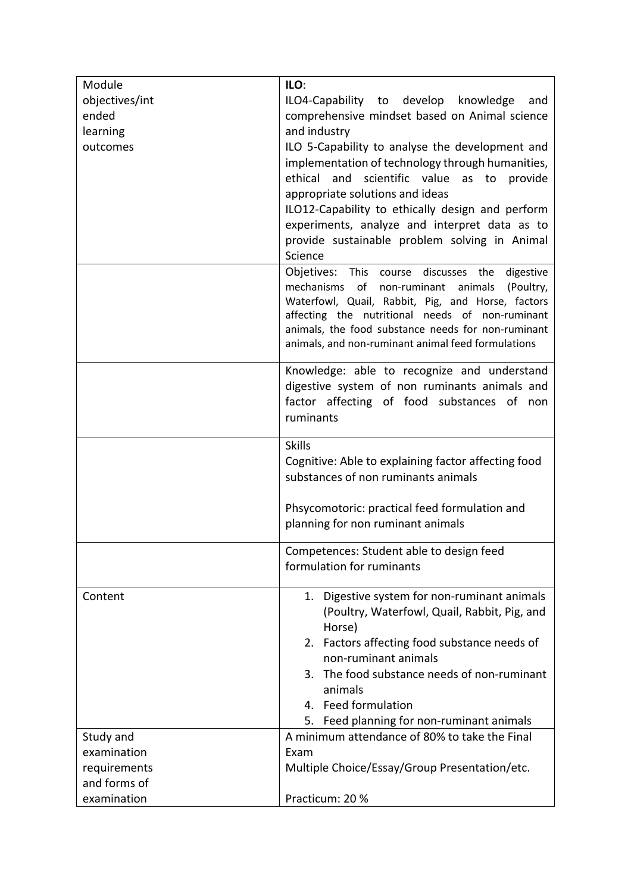| Module         | ILO:                                                                                                 |
|----------------|------------------------------------------------------------------------------------------------------|
| objectives/int | ILO4-Capability to develop knowledge<br>and                                                          |
| ended          | comprehensive mindset based on Animal science                                                        |
| learning       | and industry                                                                                         |
| outcomes       | ILO 5-Capability to analyse the development and                                                      |
|                | implementation of technology through humanities,                                                     |
|                | ethical and scientific value as to provide                                                           |
|                | appropriate solutions and ideas                                                                      |
|                | ILO12-Capability to ethically design and perform                                                     |
|                | experiments, analyze and interpret data as to                                                        |
|                | provide sustainable problem solving in Animal                                                        |
|                | Science                                                                                              |
|                | Objetives: This course discusses the digestive                                                       |
|                | mechanisms of non-ruminant animals<br>(Poultry,                                                      |
|                | Waterfowl, Quail, Rabbit, Pig, and Horse, factors<br>affecting the nutritional needs of non-ruminant |
|                | animals, the food substance needs for non-ruminant                                                   |
|                | animals, and non-ruminant animal feed formulations                                                   |
|                |                                                                                                      |
|                | Knowledge: able to recognize and understand                                                          |
|                | digestive system of non ruminants animals and                                                        |
|                | factor affecting of food substances of non                                                           |
|                | ruminants                                                                                            |
|                | <b>Skills</b>                                                                                        |
|                | Cognitive: Able to explaining factor affecting food                                                  |
|                | substances of non ruminants animals                                                                  |
|                |                                                                                                      |
|                | Phsycomotoric: practical feed formulation and                                                        |
|                | planning for non ruminant animals                                                                    |
|                | Competences: Student able to design feed                                                             |
|                | formulation for ruminants                                                                            |
|                |                                                                                                      |
| Content        | 1. Digestive system for non-ruminant animals                                                         |
|                | (Poultry, Waterfowl, Quail, Rabbit, Pig, and                                                         |
|                | Horse)                                                                                               |
|                | 2. Factors affecting food substance needs of                                                         |
|                | non-ruminant animals                                                                                 |
|                | The food substance needs of non-ruminant<br>3.                                                       |
|                | animals                                                                                              |
|                | 4. Feed formulation                                                                                  |
| Study and      | Feed planning for non-ruminant animals<br>5.<br>A minimum attendance of 80% to take the Final        |
| examination    | Exam                                                                                                 |
| requirements   | Multiple Choice/Essay/Group Presentation/etc.                                                        |
| and forms of   |                                                                                                      |
| examination    | Practicum: 20 %                                                                                      |
|                |                                                                                                      |